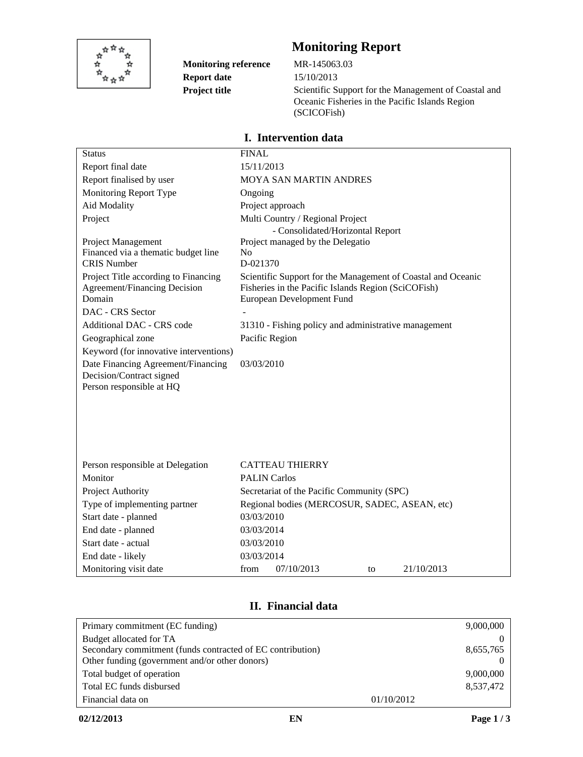

**Monitoring reference Project title Report date**

# **Monitoring Report**

15/10/2013 MR-145063.03 Scientific Support for the Management of Coastal and Oceanic Fisheries in the Pacific Islands Region (SCICOFish)

# **I. Intervention data**

| <b>Status</b>                                                  | <b>FINAL</b>                                                                     |  |  |
|----------------------------------------------------------------|----------------------------------------------------------------------------------|--|--|
| Report final date                                              | 15/11/2013                                                                       |  |  |
| Report finalised by user                                       | MOYA SAN MARTIN ANDRES                                                           |  |  |
| Monitoring Report Type                                         | Ongoing                                                                          |  |  |
| Aid Modality                                                   | Project approach                                                                 |  |  |
| Project                                                        | Multi Country / Regional Project                                                 |  |  |
|                                                                | - Consolidated/Horizontal Report                                                 |  |  |
| Project Management                                             | Project managed by the Delegatio                                                 |  |  |
| Financed via a thematic budget line                            | N <sub>o</sub>                                                                   |  |  |
| <b>CRIS Number</b>                                             | D-021370                                                                         |  |  |
| Project Title according to Financing                           | Scientific Support for the Management of Coastal and Oceanic                     |  |  |
| <b>Agreement/Financing Decision</b><br>Domain                  | Fisheries in the Pacific Islands Region (SciCOFish)<br>European Development Fund |  |  |
| DAC - CRS Sector                                               |                                                                                  |  |  |
| Additional DAC - CRS code                                      |                                                                                  |  |  |
|                                                                | 31310 - Fishing policy and administrative management                             |  |  |
| Geographical zone                                              | Pacific Region                                                                   |  |  |
| Keyword (for innovative interventions)                         |                                                                                  |  |  |
| Date Financing Agreement/Financing<br>Decision/Contract signed | 03/03/2010                                                                       |  |  |
| Person responsible at HQ                                       |                                                                                  |  |  |
|                                                                |                                                                                  |  |  |
|                                                                |                                                                                  |  |  |
|                                                                |                                                                                  |  |  |
|                                                                |                                                                                  |  |  |
|                                                                |                                                                                  |  |  |
| Person responsible at Delegation                               | <b>CATTEAU THIERRY</b>                                                           |  |  |
| Monitor                                                        | <b>PALIN Carlos</b>                                                              |  |  |
| Project Authority                                              | Secretariat of the Pacific Community (SPC)                                       |  |  |
| Type of implementing partner                                   | Regional bodies (MERCOSUR, SADEC, ASEAN, etc)                                    |  |  |
| Start date - planned                                           | 03/03/2010                                                                       |  |  |
| End date - planned                                             | 03/03/2014                                                                       |  |  |
| Start date - actual                                            | 03/03/2010                                                                       |  |  |
| End date - likely                                              | 03/03/2014                                                                       |  |  |
| Monitoring visit date                                          | from<br>07/10/2013<br>21/10/2013<br>to                                           |  |  |

# **II. Financial data**

| Primary commitment (EC funding)                            |            | 9,000,000 |
|------------------------------------------------------------|------------|-----------|
| Budget allocated for TA                                    |            |           |
| Secondary commitment (funds contracted of EC contribution) |            | 8,655,765 |
| Other funding (government and/or other donors)             |            |           |
| Total budget of operation                                  |            | 9,000,000 |
| Total EC funds disbursed                                   |            | 8,537,472 |
| Financial data on                                          | 01/10/2012 |           |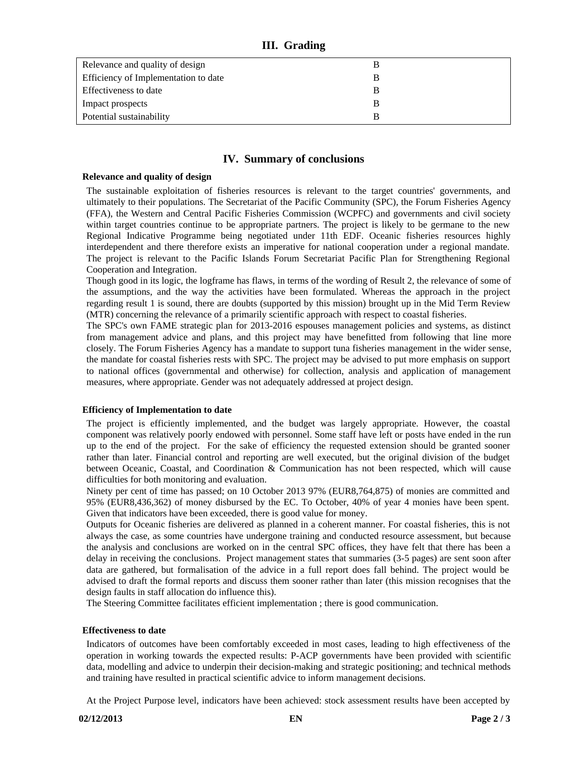## **III. Grading**

| Relevance and quality of design      |  |
|--------------------------------------|--|
| Efficiency of Implementation to date |  |
| Effectiveness to date                |  |
| Impact prospects                     |  |
| Potential sustainability             |  |

# **IV. Summary of conclusions**

#### **Relevance and quality of design**

The sustainable exploitation of fisheries resources is relevant to the target countries' governments, and ultimately to their populations. The Secretariat of the Pacific Community (SPC), the Forum Fisheries Agency (FFA), the Western and Central Pacific Fisheries Commission (WCPFC) and governments and civil society within target countries continue to be appropriate partners. The project is likely to be germane to the new Regional Indicative Programme being negotiated under 11th EDF. Oceanic fisheries resources highly interdependent and there therefore exists an imperative for national cooperation under a regional mandate. The project is relevant to the Pacific Islands Forum Secretariat Pacific Plan for Strengthening Regional Cooperation and Integration.

Though good in its logic, the logframe has flaws, in terms of the wording of Result 2, the relevance of some of the assumptions, and the way the activities have been formulated. Whereas the approach in the project regarding result 1 is sound, there are doubts (supported by this mission) brought up in the Mid Term Review (MTR) concerning the relevance of a primarily scientific approach with respect to coastal fisheries.

The SPC's own FAME strategic plan for 2013-2016 espouses management policies and systems, as distinct from management advice and plans, and this project may have benefitted from following that line more closely. The Forum Fisheries Agency has a mandate to support tuna fisheries management in the wider sense, the mandate for coastal fisheries rests with SPC. The project may be advised to put more emphasis on support to national offices (governmental and otherwise) for collection, analysis and application of management measures, where appropriate. Gender was not adequately addressed at project design.

#### **Efficiency of Implementation to date**

The project is efficiently implemented, and the budget was largely appropriate. However, the coastal component was relatively poorly endowed with personnel. Some staff have left or posts have ended in the run up to the end of the project. For the sake of efficiency the requested extension should be granted sooner rather than later. Financial control and reporting are well executed, but the original division of the budget between Oceanic, Coastal, and Coordination & Communication has not been respected, which will cause difficulties for both monitoring and evaluation.

Ninety per cent of time has passed; on 10 October 2013 97% (EUR8,764,875) of monies are committed and 95% (EUR8,436,362) of money disbursed by the EC. To October, 40% of year 4 monies have been spent. Given that indicators have been exceeded, there is good value for money.

Outputs for Oceanic fisheries are delivered as planned in a coherent manner. For coastal fisheries, this is not always the case, as some countries have undergone training and conducted resource assessment, but because the analysis and conclusions are worked on in the central SPC offices, they have felt that there has been a delay in receiving the conclusions. Project management states that summaries (3-5 pages) are sent soon after data are gathered, but formalisation of the advice in a full report does fall behind. The project would be advised to draft the formal reports and discuss them sooner rather than later (this mission recognises that the design faults in staff allocation do influence this).

The Steering Committee facilitates efficient implementation ; there is good communication.

### **Effectiveness to date**

Indicators of outcomes have been comfortably exceeded in most cases, leading to high effectiveness of the operation in working towards the expected results: P-ACP governments have been provided with scientific data, modelling and advice to underpin their decision-making and strategic positioning; and technical methods and training have resulted in practical scientific advice to inform management decisions.

At the Project Purpose level, indicators have been achieved: stock assessment results have been accepted by